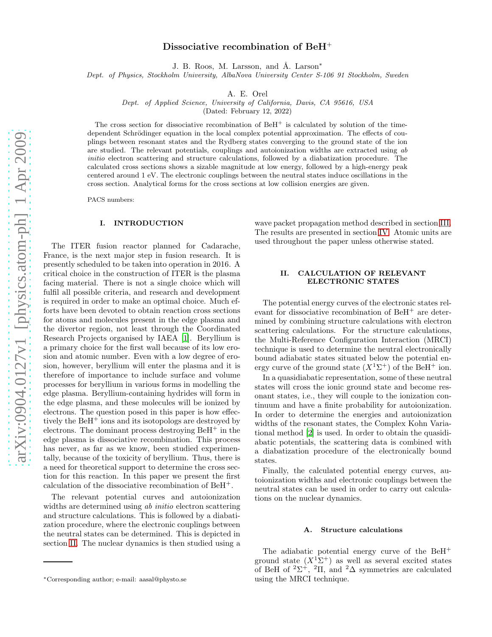# Dissociative recombination of BeH<sup>+</sup>

J. B. Roos, M. Larsson, and Å. Larson<sup>\*</sup>

Dept. of Physics, Stockholm University, AlbaNova University Center S-106 91 Stockholm, Sweden

A. E. Orel

Dept. of Applied Science, University of California, Davis, CA 95616, USA

(Dated: February 12, 2022)

The cross section for dissociative recombination of  $BCH<sup>+</sup>$  is calculated by solution of the timedependent Schrödinger equation in the local complex potential approximation. The effects of couplings between resonant states and the Rydberg states converging to the ground state of the ion are studied. The relevant potentials, couplings and autoionization widths are extracted using ab initio electron scattering and structure calculations, followed by a diabatization procedure. The calculated cross sections shows a sizable magnitude at low energy, followed by a high-energy peak centered around 1 eV. The electronic couplings between the neutral states induce oscillations in the cross section. Analytical forms for the cross sections at low collision energies are given.

PACS numbers:

### I. INTRODUCTION

The ITER fusion reactor planned for Cadarache, France, is the next major step in fusion research. It is presently scheduled to be taken into operation in 2016. A critical choice in the construction of ITER is the plasma facing material. There is not a single choice which will fulfil all possible criteria, and research and development is required in order to make an optimal choice. Much efforts have been devoted to obtain reaction cross sections for atoms and molecules present in the edge plasma and the divertor region, not least through the Coordinated Research Projects organised by IAEA [\[1\]](#page-8-0). Beryllium is a primary choice for the first wall because of its low erosion and atomic number. Even with a low degree of erosion, however, beryllium will enter the plasma and it is therefore of importance to include surface and volume processes for beryllium in various forms in modelling the edge plasma. Beryllium-containing hydrides will form in the edge plasma, and these molecules will be ionized by electrons. The question posed in this paper is how effectively the  $B \text{e} \text{H}^+$  ions and its isotopologs are destroyed by electrons. The dominant process destroying  $B \text{e} \text{H}^+$  in the edge plasma is dissociative recombination. This process has never, as far as we know, been studied experimentally, because of the toxicity of beryllium. Thus, there is a need for theoretical support to determine the cross section for this reaction. In this paper we present the first calculation of the dissociative recombination of BeH+.

The relevant potential curves and autoionization widths are determined using ab *initio* electron scattering and structure calculations. This is followed by a diabatization procedure, where the electronic couplings between the neutral states can be determined. This is depicted in section [II.](#page-0-0) The nuclear dynamics is then studied using a

wave packet propagation method described in section [III.](#page-3-0) The results are presented in section [IV.](#page-4-0) Atomic units are used throughout the paper unless otherwise stated.

# <span id="page-0-0"></span>II. CALCULATION OF RELEVANT ELECTRONIC STATES

The potential energy curves of the electronic states relevant for dissociative recombination of BeH<sup>+</sup> are determined by combining structure calculations with electron scattering calculations. For the structure calculations, the Multi-Reference Configuration Interaction (MRCI) technique is used to determine the neutral electronically bound adiabatic states situated below the potential energy curve of the ground state  $(X<sup>1</sup>\Sigma^{+})$  of the BeH<sup>+</sup> ion.

In a quasidiabatic representation, some of these neutral states will cross the ionic ground state and become resonant states, i.e., they will couple to the ionization continuum and have a finite probability for autoionization. In order to determine the energies and autoionization widths of the resonant states, the Complex Kohn Variational method [\[2\]](#page-8-1) is used. In order to obtain the quasidiabatic potentials, the scattering data is combined with a diabatization procedure of the electronically bound states.

Finally, the calculated potential energy curves, autoionization widths and electronic couplings between the neutral states can be used in order to carry out calculations on the nuclear dynamics.

#### A. Structure calculations

The adiabatic potential energy curve of the BeH<sup>+</sup> ground state  $(X^1\Sigma^+)$  as well as several excited states of BeH of  ${}^{2}\Sigma^{+}$ ,  ${}^{2}\Pi$ , and  ${}^{2}\Delta$  symmetries are calculated using the MRCI technique.

<sup>∗</sup>Corresponding author; e-mail: aasal@physto.se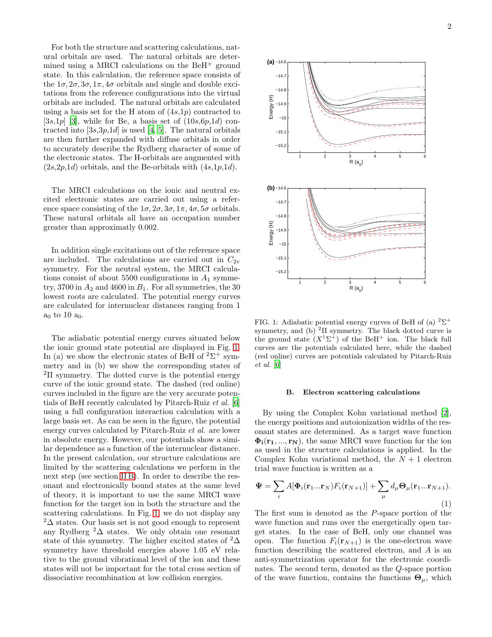For both the structure and scattering calculations, natural orbitals are used. The natural orbitals are determined using a MRCI calculations on the BeH<sup>+</sup> ground state. In this calculation, the reference space consists of the  $1\sigma$ ,  $2\sigma$ ,  $3\sigma$ ,  $1\pi$ ,  $4\sigma$  orbitals and single and double excitations from the reference configurations into the virtual orbitals are included. The natural orbitals are calculated using a basis set for the H atom of  $(4s,1p)$  contracted to [3s,1p] [\[3\]](#page-8-2), while for Be, a basis set of  $(10s,6p,1d)$  contracted into  $[3s,3p,1d]$  is used [\[4](#page-8-3), [5\]](#page-8-4). The natural orbitals are then further expanded with diffuse orbitals in order to accurately describe the Rydberg character of some of the electronic states. The H-orbitals are augmented with  $(2s,2p,1d)$  orbitals, and the Be-orbitals with  $(4s,1p,1d)$ .

The MRCI calculations on the ionic and neutral excited electronic states are carried out using a reference space consisting of the  $1\sigma$ ,  $2\sigma$ ,  $3\sigma$ ,  $1\pi$ ,  $4\sigma$ ,  $5\sigma$  orbitals. These natural orbitals all have an occupation number greater than approximatly 0.002.

In addition single excitations out of the reference space are included. The calculations are carried out in  $C_{2v}$ symmetry. For the neutral system, the MRCI calculations consist of about 5500 configurations in  $A_1$  symmetry, 3700 in  $A_2$  and 4600 in  $B_1$ . For all symmetries, the 30 lowest roots are calculated. The potential energy curves are calculated for internuclear distances ranging from 1  $a_0$  to 10  $a_0$ .

The adiabatic potential energy curves situated below the ionic ground state potential are displayed in Fig. [1.](#page-1-0) In (a) we show the electronic states of BeH of  $2\Sigma^+$  symmetry and in (b) we show the corresponding states of  ${}^{2}$ II symmetry. The dotted curve is the potential energy curve of the ionic ground state. The dashed (red online) curves included in the figure are the very accurate potentials of BeH recently calculated by Pitarch-Ruiz et al. [\[6](#page-8-5)] using a full configuration interaction calculation with a large basis set. As can be seen in the figure, the potential energy curves calculated by Pitarch-Ruiz et al. are lower in absolute energy. However, our potentials show a similar dependence as a function of the internuclear distance. In the present calculation, our structure calculations are limited by the scattering calculations we perform in the next step (see section [II B\)](#page-1-1). In order to describe the resonant and electronically bound states at the same level of theory, it is important to use the same MRCI wave function for the target ion in both the structure and the scattering calculations. In Fig. [1,](#page-1-0) we do not display any  $2\Delta$  states. Our basis set is not good enough to represent any Rydberg  ${}^{2}\Delta$  states. We only obtain one resonant state of this symmetry. The higher excited states of  ${}^{2}\Delta$ symmetry have threshold energies above 1.05 eV relative to the ground vibrational level of the ion and these states will not be important for the total cross section of dissociative recombination at low collision energies.



<span id="page-1-0"></span>FIG. 1: Adiabatic potential energy curves of BeH of (a)  $2\Sigma^+$ symmetry, and (b)  ${}^{2}\Pi$  symmetry. The black dotted curve is the ground state  $(X^1\Sigma^+)$  of the BeH<sup>+</sup> ion. The black full curves are the potentials calculated here, while the dashed (red online) curves are potentials calculated by Pitarch-Ruiz et al. [\[6\]](#page-8-5)

### <span id="page-1-1"></span>B. Electron scattering calculations

By using the Complex Kohn variational method [\[2\]](#page-8-1), the energy positions and autoionization widths of the resonant states are determined. As a target wave function  $\Phi_i(\mathbf{r}_1, ..., \mathbf{r}_N)$ , the same MRCI wave function for the ion as used in the structure calculations is applied. In the Complex Kohn variational method, the  $N+1$  electron trial wave function is written as a

$$
\Psi = \sum_{i} A[\Phi_i(\mathbf{r}_1...\mathbf{r}_N)F_i(\mathbf{r}_{N+1})] + \sum_{\mu} d_{\mu} \Theta_{\mu}(\mathbf{r}_1...\mathbf{r}_{N+1}).
$$
\n(1)

The first sum is denoted as the P-space portion of the wave function and runs over the energetically open target states. In the case of BeH, only one channel was open. The function  $F_i(\mathbf{r}_{N+1})$  is the one-electron wave function describing the scattered electron, and A is an anti-symmetrization operator for the electronic coordinates. The second term, denoted as the Q-space portion of the wave function, contains the functions  $\mathbf{\Theta}_{\mu}$ , which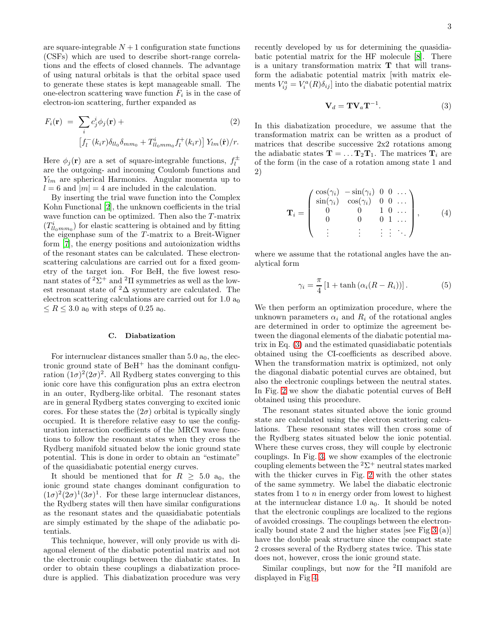are square-integrable  $N+1$  configuration state functions (CSFs) which are used to describe short-range correlations and the effects of closed channels. The advantage of using natural orbitals is that the orbital space used to generate these states is kept manageable small. The one-electron scattering wave function  $F_i$  is in the case of electron-ion scattering, further expanded as

$$
F_i(\mathbf{r}) = \sum_i c_j^i \phi_j(\mathbf{r}) +
$$
  
\n
$$
\left[ f_l^-(k_i r) \delta_{ll_0} \delta_{mm_0} + T_{ll_0mm_0}^i f_l^+(k_i r) \right] Y_{lm}(\hat{\mathbf{r}})/r.
$$
\n(2)

Here  $\phi_j(\mathbf{r})$  are a set of square-integrable functions,  $f_l^{\pm}$ l are the outgoing- and incoming Coulomb functions and  $Y_{lm}$  are spherical Harmonics. Angular momenta up to  $l = 6$  and  $|m| = 4$  are included in the calculation.

By inserting the trial wave function into the Complex Kohn Functional [\[2\]](#page-8-1), the unknown coefficients in the trial wave function can be optimized. Then also the T-matrix  $(T_{ll_0 m m_0}^i)$  for elastic scattering is obtained and by fitting the eigenphase sum of the  $T$ -matrix to a Breit-Wigner form [\[7](#page-8-6)], the energy positions and autoionization widths of the resonant states can be calculated. These electronscattering calculations are carried out for a fixed geometry of the target ion. For BeH, the five lowest resonant states of  $2\Sigma^+$  and  $2\Pi$  symmetries as well as the lowest resonant state of  ${}^{2}\Delta$  symmetry are calculated. The electron scattering calculations are carried out for  $1.0 a<sub>0</sub>$  $\leq R \leq 3.0$  a<sub>0</sub> with steps of 0.25 a<sub>0</sub>.

## <span id="page-2-1"></span>C. Diabatization

For internuclear distances smaller than  $5.0 a_0$ , the electronic ground state of  $B \text{e} \text{H}^+$  has the dominant configuration  $(1\sigma)^2(2\sigma)^2$ . All Rydberg states converging to this ionic core have this configuration plus an extra electron in an outer, Rydberg-like orbital. The resonant states are in general Rydberg states converging to excited ionic cores. For these states the  $(2\sigma)$  orbital is typically singly occupied. It is therefore relative easy to use the configuration interaction coefficients of the MRCI wave functions to follow the resonant states when they cross the Rydberg manifold situated below the ionic ground state potential. This is done in order to obtain an "estimate" of the quasidiabatic potential energy curves.

It should be mentioned that for  $R \geq 5.0$  a<sub>0</sub>, the ionic ground state changes dominant configuration to  $(1\sigma)^2(2\sigma)^1(3\sigma)^1$ . For these large internuclear distances, the Rydberg states will then have similar configurations as the resonant states and the quasidiabatic potentials are simply estimated by the shape of the adiabatic potentials.

This technique, however, will only provide us with diagonal element of the diabatic potential matrix and not the electronic couplings between the diabatic states. In order to obtain these couplings a diabatization procedure is applied. This diabatization procedure was very

recently developed by us for determining the quasidiabatic potential matrix for the HF molecule [\[8](#page-8-7)]. There is a unitary transformation matrix T that will transform the adiabatic potential matrix [with matrix elements  $V_{ij}^a = V_i^a(R)\delta_{ij}$  into the diabatic potential matrix

<span id="page-2-0"></span>
$$
\mathbf{V}_d = \mathbf{T} \mathbf{V}_a \mathbf{T}^{-1}.
$$
 (3)

In this diabatization procedure, we assume that the transformation matrix can be written as a product of matrices that describe successive 2x2 rotations among the adiabatic states  $\mathbf{T} = \dots \mathbf{T}_2 \mathbf{T}_1$ . The matrices  $\mathbf{T}_i$  are of the form (in the case of a rotation among state 1 and 2)

$$
\mathbf{T}_{i} = \begin{pmatrix} \cos(\gamma_{i}) & -\sin(\gamma_{i}) & 0 & 0 & \dots \\ \sin(\gamma_{i}) & \cos(\gamma_{i}) & 0 & 0 & \dots \\ 0 & 0 & 1 & 0 & \dots \\ 0 & 0 & 0 & 1 & \dots \\ \vdots & \vdots & \vdots & \vdots & \vdots & \ddots \end{pmatrix}, \qquad (4)
$$

where we assume that the rotational angles have the analytical form

$$
\gamma_i = \frac{\pi}{4} \left[ 1 + \tanh\left(\alpha_i (R - R_i)\right) \right]. \tag{5}
$$

We then perform an optimization procedure, where the unknown parameters  $\alpha_i$  and  $R_i$  of the rotational angles are determined in order to optimize the agreement between the diagonal elements of the diabatic potential matrix in Eq. [\(3\)](#page-2-0) and the estimated quasidiabatic potentials obtained using the CI-coefficients as described above. When the transformation matrix is optimized, not only the diagonal diabatic potential curves are obtained, but also the electronic couplings between the neutral states. In Fig. [2](#page-3-1) we show the diabatic potential curves of BeH obtained using this procedure.

The resonant states situated above the ionic ground state are calculated using the electron scattering calculations. These resonant states will then cross some of the Rydberg states situated below the ionic potential. Where these curves cross, they will couple by electronic couplings. In Fig. [3,](#page-3-2) we show examples of the electronic coupling elements between the  ${}^{2}\Sigma^{+}$  neutral states marked with the thicker curves in Fig. [2](#page-3-1) with the other states of the same symmetry. We label the diabatic electronic states from 1 to  $n$  in energy order from lowest to highest at the internuclear distance 1.0  $a_0$ . It should be noted that the electronic couplings are localized to the regions of avoided crossings. The couplings between the electronically bound state 2 and the higher states [see Fig [3](#page-3-2) (a)] have the double peak structure since the compact state 2 crosses several of the Rydberg states twice. This state does not, however, cross the ionic ground state.

Similar couplings, but now for the  ${}^{2}\Pi$  manifold are displayed in Fig [4.](#page-4-1)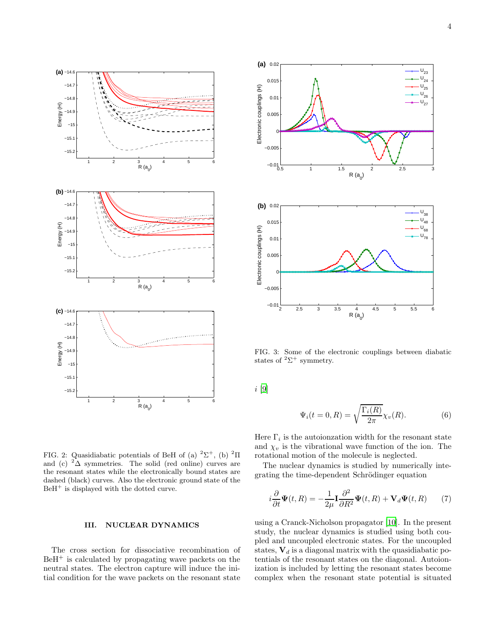

<span id="page-3-1"></span>

# <span id="page-3-0"></span>III. NUCLEAR DYNAMICS

The cross section for dissociative recombination of  $BeH<sup>+</sup>$  is calculated by propagating wave packets on the neutral states. The electron capture will induce the initial condition for the wave packets on the resonant state



<span id="page-3-2"></span>FIG. 3: Some of the electronic couplings between diabatic states of  ${}^{2}\Sigma^{+}$  symmetry.

i [\[9\]](#page-8-8)

<span id="page-3-4"></span>
$$
\Psi_i(t=0,R) = \sqrt{\frac{\Gamma_i(R)}{2\pi}} \chi_v(R). \tag{6}
$$

Here  $\Gamma_i$  is the autoionzation width for the resonant state and  $\chi_v$  is the vibrational wave function of the ion. The rotational motion of the molecule is neglected.

The nuclear dynamics is studied by numerically integrating the time-dependent Schrödinger equation

<span id="page-3-3"></span>
$$
i\frac{\partial}{\partial t}\Psi(t,R) = -\frac{1}{2\mu}\mathbf{I}\frac{\partial^2}{\partial R^2}\Psi(t,R) + \mathbf{V}_d\Psi(t,R)
$$
 (7)

using a Cranck-Nicholson propagator [\[10\]](#page-8-9). In the present study, the nuclear dynamics is studied using both coupled and uncoupled electronic states. For the uncoupled states,  $V_d$  is a diagonal matrix with the quasidiabatic potentials of the resonant states on the diagonal. Autoionization is included by letting the resonant states become complex when the resonant state potential is situated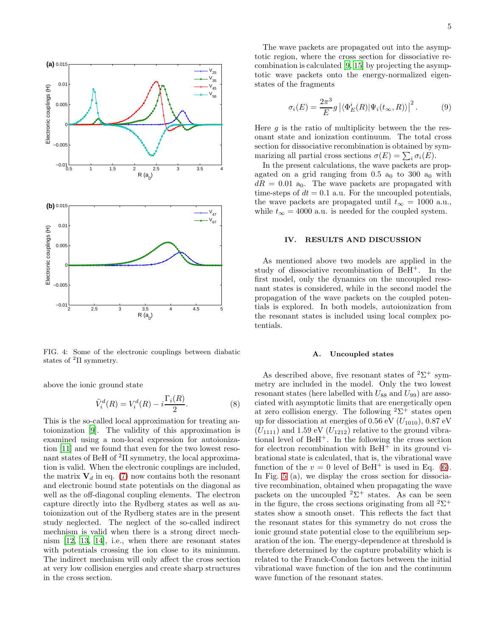

<span id="page-4-1"></span>FIG. 4: Some of the electronic couplings between diabatic states of  ${}^{2}\Pi$  symmetry.

above the ionic ground state

$$
\tilde{V}_i^d(R) = V_i^d(R) - i\frac{\Gamma_i(R)}{2}.
$$
\n(8)

This is the so-called local approximation for treating autoionization [\[9\]](#page-8-8). The validity of this approximation is examined using a non-local expression for autoionization [\[11\]](#page-8-10) and we found that even for the two lowest resonant states of BeH of <sup>2</sup>Π symmetry, the local approximation is valid. When the electronic couplings are included, the matrix  $V_d$  in eq. [\(7\)](#page-3-3) now contains both the resonant and electronic bound state potentials on the diagonal as well as the off-diagonal coupling elements. The electron capture directly into the Rydberg states as well as autoionization out of the Rydberg states are in the present study neglected. The neglect of the so-called indirect mechnism is valid when there is a strong direct mechnism [\[12](#page-8-11), [13](#page-8-12), [14](#page-8-13)], i.e., when there are resonant states with potentials crossing the ion close to its minimum. The indirect mechnism will only affect the cross section at very low collision energies and create sharp structures in the cross section.

The wave packets are propagated out into the asymptotic region, where the cross section for dissociative recombination is calculated [\[9](#page-8-8), [15\]](#page-8-14) by projecting the asymptotic wave packets onto the energy-normalized eigenstates of the fragments

$$
\sigma_i(E) = \frac{2\pi^3}{E} g \left| \langle \Phi_E^i(R) | \Psi_i(t_\infty, R) \rangle \right|^2.
$$
 (9)

Here  $g$  is the ratio of multiplicity between the the resonant state and ionization continuum. The total cross section for dissociative recombination is obtained by symmarizing all partial cross sections  $\sigma(E) = \sum_i \sigma_i(E)$ .

In the present calculations, the wave packets are propagated on a grid ranging from  $0.5$  a<sub>0</sub> to  $300$  a<sub>0</sub> with  $dR = 0.01$  a<sub>0</sub>. The wave packets are propagated with time-steps of  $dt = 0.1$  a.u. For the uncoupled potentials, the wave packets are propagated until  $t_{\infty} = 1000$  a.u., while  $t_{\infty} = 4000$  a.u. is needed for the coupled system.

## <span id="page-4-0"></span>IV. RESULTS AND DISCUSSION

As mentioned above two models are applied in the study of dissociative recombination of BeH<sup>+</sup>. In the first model, only the dynamics on the uncoupled resonant states is considered, while in the second model the propagation of the wave packets on the coupled potentials is explored. In both models, autoionization from the resonant states is included using local complex potentials.

## A. Uncoupled states

As described above, five resonant states of  $2\Sigma^+$  symmetry are included in the model. Only the two lowest resonant states (here labelled with  $U_{88}$  and  $U_{99}$ ) are associated with asymptotic limits that are energetically open at zero collision energy. The following  ${}^{2}\Sigma^{+}$  states open up for dissociation at energies of 0.56 eV  $(U_{1010})$ , 0.87 eV  $(U_{1111})$  and 1.59 eV  $(U_{1212})$  relative to the ground vibrational level of  $BeH^+$ . In the following the cross section for electron recombination with  $B \text{e} \text{H}^+$  in its ground vibrational state is calculated, that is, the vibrational wave function of the  $v = 0$  level of BeH<sup>+</sup> is used in Eq. [\(6\)](#page-3-4). In Fig. [5](#page-5-0) (a), we display the cross section for dissociative recombination, obtained when propagating the wave packets on the uncoupled  $2\Sigma^+$  states. As can be seen in the figure, the cross sections originating from all  ${}^{2}\Sigma^{+}$ states show a smooth onset. This reflects the fact that the resonant states for this symmetry do not cross the ionic ground state potential close to the equilibrium separation of the ion. The energy-dependence at threshold is therefore determined by the capture probability which is related to the Franck-Condon factors between the initial vibrational wave function of the ion and the continuum wave function of the resonant states.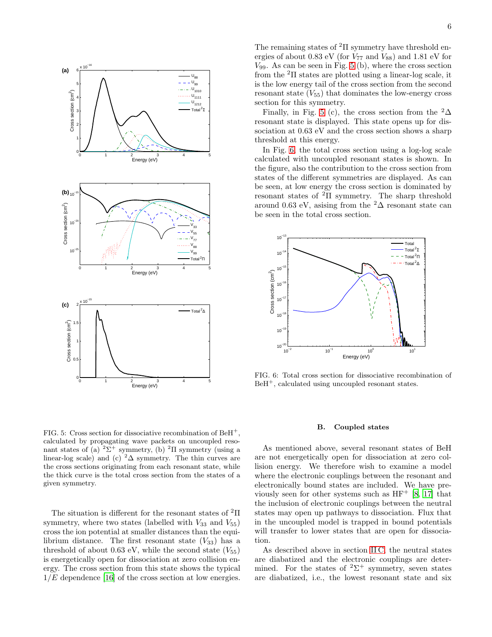

<span id="page-5-0"></span>FIG. 5: Cross section for dissociative recombination of  $BCH<sup>+</sup>$ . calculated by propagating wave packets on uncoupled resonant states of (a)  $2\Sigma^+$  symmetry, (b)  $2\Pi$  symmetry (using a linear-log scale) and (c) <sup>2</sup> $\Delta$  symmetry. The thin curves are the cross sections originating from each resonant state, while the thick curve is the total cross section from the states of a given symmetry.

The situation is different for the resonant states of <sup>2</sup>Π symmetry, where two states (labelled with  $V_{33}$  and  $V_{55}$ ) cross the ion potential at smaller distances than the equilibrium distance. The first resonant state  $(V_{33})$  has a threshold of about 0.63 eV, while the second state  $(V_{55})$ is energetically open for dissociation at zero collision energy. The cross section from this state shows the typical  $1/E$  dependence [\[16\]](#page-8-15) of the cross section at low energies.

The remaining states of  ${}^{2}$ II symmetry have threshold energies of about 0.83 eV (for  $V_{77}$  and  $V_{88}$ ) and 1.81 eV for  $V_{99}$ . As can be seen in Fig. [5](#page-5-0) (b), where the cross section from the  $2\Pi$  states are plotted using a linear-log scale, it is the low energy tail of the cross section from the second resonant state  $(V_{55})$  that dominates the low-energy cross section for this symmetry.

Finally, in Fig. [5](#page-5-0) (c), the cross section from the  ${}^{2}\Delta$ resonant state is displayed. This state opens up for dissociation at 0.63 eV and the cross section shows a sharp threshold at this energy.

In Fig. [6,](#page-5-1) the total cross section using a log-log scale calculated with uncoupled resonant states is shown. In the figure, also the contribution to the cross section from states of the different symmetries are displayed. As can be seen, at low energy the cross section is dominated by resonant states of <sup>2</sup>Π symmetry. The sharp threshold around 0.63 eV, asising from the  ${}^{2}\Delta$  resonant state can be seen in the total cross section.



<span id="page-5-1"></span>FIG. 6: Total cross section for dissociative recombination of  $BeH^+$ , calculated using uncoupled resonant states.

#### B. Coupled states

As mentioned above, several resonant states of BeH are not energetically open for dissociation at zero collision energy. We therefore wish to examine a model where the electronic couplings between the resonant and electronically bound states are included. We have previously seen for other systems such as  $HF<sup>+</sup> [8, 17]$  $HF<sup>+</sup> [8, 17]$  $HF<sup>+</sup> [8, 17]$  $HF<sup>+</sup> [8, 17]$  that the inclusion of electronic couplings between the neutral states may open up pathways to dissociation. Flux that in the uncoupled model is trapped in bound potentials will transfer to lower states that are open for dissociation.

As described above in section [II C,](#page-2-1) the neutral states are diabatized and the electronic couplings are determined. For the states of  $2\Sigma^+$  symmetry, seven states are diabatized, i.e., the lowest resonant state and six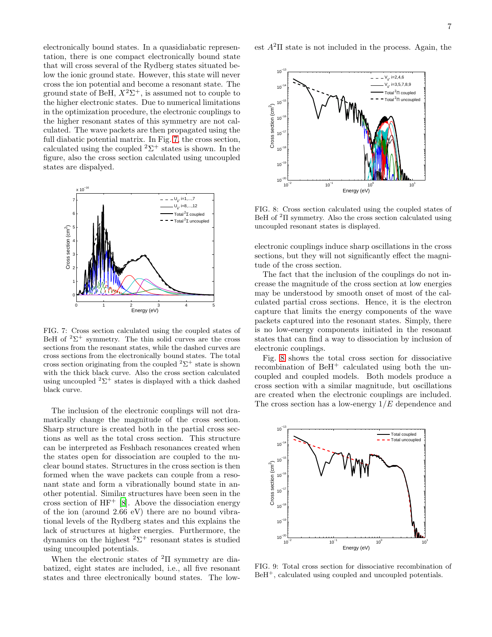electronically bound states. In a quasidiabatic representation, there is one compact electronically bound state that will cross several of the Rydberg states situated below the ionic ground state. However, this state will never cross the ion potential and become a resonant state. The ground state of BeH,  $X^2\Sigma^+$ , is assumed not to couple to the higher electronic states. Due to numerical limitations in the optimization procedure, the electronic couplings to the higher resonant states of this symmetry are not calculated. The wave packets are then propagated using the full diabatic potential matrix. In Fig. [7,](#page-6-0) the cross section, calculated using the coupled  $2\Sigma^+$  states is shown. In the figure, also the cross section calculated using uncoupled states are dispalyed.



<span id="page-6-0"></span>FIG. 7: Cross section calculated using the coupled states of BeH of  ${}^{2}\Sigma^{+}$  symmetry. The thin solid curves are the cross sections from the resonant states, while the dashed curves are cross sections from the electronically bound states. The total cross section originating from the coupled  ${}^{2}\Sigma^{+}$  state is shown with the thick black curve. Also the cross section calculated using uncoupled  ${}^{2}\Sigma^{+}$  states is displayed with a thick dashed black curve.

The inclusion of the electronic couplings will not dramatically change the magnitude of the cross section. Sharp structure is created both in the partial cross sections as well as the total cross section. This structure can be interpreted as Feshbach resonances created when the states open for dissociation are coupled to the nuclear bound states. Structures in the cross section is then formed when the wave packets can couple from a resonant state and form a vibrationally bound state in another potential. Similar structures have been seen in the cross section of  $HF^+$  [\[8](#page-8-7)]. Above the dissociation energy of the ion (around 2.66 eV) there are no bound vibrational levels of the Rydberg states and this explains the lack of structures at higher energies. Furthermore, the dynamics on the highest  ${}^{2}\Sigma^{+}$  resonant states is studied using uncoupled potentials.

When the electronic states of  ${}^{2}\Pi$  symmetry are diabatized, eight states are included, i.e., all five resonant states and three electronically bound states. The lowest  $A^2\Pi$  state is not included in the process. Again, the



<span id="page-6-1"></span>FIG. 8: Cross section calculated using the coupled states of BeH of  ${}^{2}$ Π symmetry. Also the cross section calculated using uncoupled resonant states is displayed.

electronic couplings induce sharp oscillations in the cross sections, but they will not significantly effect the magnitude of the cross section.

The fact that the inclusion of the couplings do not increase the magnitude of the cross section at low energies may be understood by smooth onset of most of the calculated partial cross sections. Hence, it is the electron capture that limits the energy components of the wave packets captured into the resonant states. Simply, there is no low-energy components initiated in the resonant states that can find a way to dissociation by inclusion of electronic couplings.

Fig. [8](#page-6-1) shows the total cross section for dissociative recombination of  $BeH^+$  calculated using both the uncoupled and coupled models. Both models produce a cross section with a similar magnitude, but oscillations are created when the electronic couplings are included. The cross section has a low-energy  $1/E$  dependence and



FIG. 9: Total cross section for dissociative recombination of BeH<sup>+</sup>, calculated using coupled and uncoupled potentials.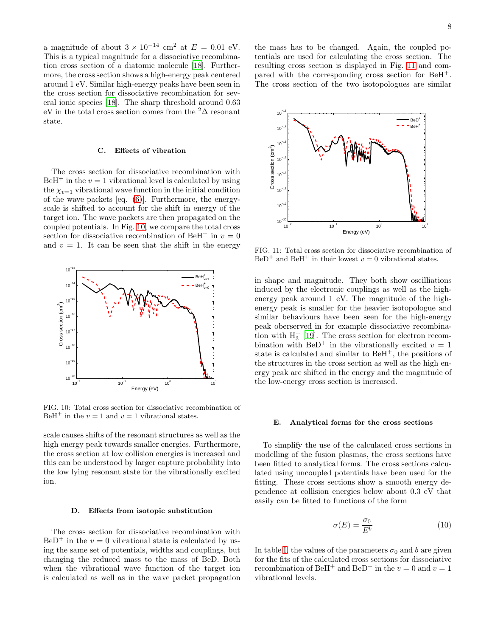a magnitude of about  $3 \times 10^{-14}$  cm<sup>2</sup> at  $E = 0.01$  eV. This is a typical magnitude for a dissociative recombination cross section of a diatomic molecule [\[18](#page-8-17)]. Furthermore, the cross section shows a high-energy peak centered around 1 eV. Similar high-energy peaks have been seen in the cross section for dissociative recombination for several ionic species [\[18\]](#page-8-17). The sharp threshold around 0.63 eV in the total cross section comes from the  ${}^{2}\Delta$  resonant state.

## C. Effects of vibration

The cross section for dissociative recombination with  $BeH^+$  in the  $v = 1$  vibrational level is calculated by using the  $\chi_{v=1}$  vibrational wave function in the initial condition of the wave packets [eq. [\(6\)](#page-3-4)]. Furthermore, the energyscale is shifted to account for the shift in energy of the target ion. The wave packets are then propagated on the coupled potentials. In Fig. [10,](#page-7-0) we compare the total cross section for dissociative recombination of BeH<sup>+</sup> in  $v = 0$ and  $v = 1$ . It can be seen that the shift in the energy



<span id="page-7-0"></span>FIG. 10: Total cross section for dissociative recombination of BeH<sup>+</sup> in the  $v = 1$  and  $v = 1$  vibrational states.

scale causes shifts of the resonant structures as well as the high energy peak towards smaller energies. Furthermore, the cross section at low collision energies is increased and this can be understood by larger capture probability into the low lying resonant state for the vibrationally excited ion.

#### D. Effects from isotopic substitution

The cross section for dissociative recombination with  $BeD^+$  in the  $v = 0$  vibrational state is calculated by using the same set of potentials, widths and couplings, but changing the reduced mass to the mass of BeD. Both when the vibrational wave function of the target ion is calculated as well as in the wave packet propagation

the mass has to be changed. Again, the coupled potentials are used for calculating the cross section. The resulting cross section is displayed in Fig. [11](#page-7-1) and compared with the corresponding cross section for BeH+. The cross section of the two isotopologues are similar



<span id="page-7-1"></span>FIG. 11: Total cross section for dissociative recombination of BeD<sup>+</sup> and BeH<sup>+</sup> in their lowest  $v = 0$  vibrational states.

in shape and magnitude. They both show oscilliations induced by the electronic couplings as well as the highenergy peak around 1 eV. The magnitude of the highenergy peak is smaller for the heavier isotopologue and similar behaviours have been seen for the high-energy peak oberserved in for example dissociative recombination with  $H_3^+$  [\[19\]](#page-8-18). The cross section for electron recombination with BeD<sup>+</sup> in the vibrationally excited  $v = 1$ state is calculated and similar to  $BeH^{+}$ , the positions of the structures in the cross section as well as the high energy peak are shifted in the energy and the magnitude of the low-energy cross section is increased.

#### E. Analytical forms for the cross sections

To simplify the use of the calculated cross sections in modelling of the fusion plasmas, the cross sections have been fitted to analytical forms. The cross sections calculated using uncoupled potentials have been used for the fitting. These cross sections show a smooth energy dependence at collision energies below about 0.3 eV that easily can be fitted to functions of the form

$$
\sigma(E) = \frac{\sigma_0}{E^b} \tag{10}
$$

In table [I,](#page-8-19) the values of the parameters  $\sigma_0$  and b are given for the fits of the calculated cross sections for dissociative recombination of BeH<sup>+</sup> and BeD<sup>+</sup> in the  $v = 0$  and  $v = 1$ vibrational levels.